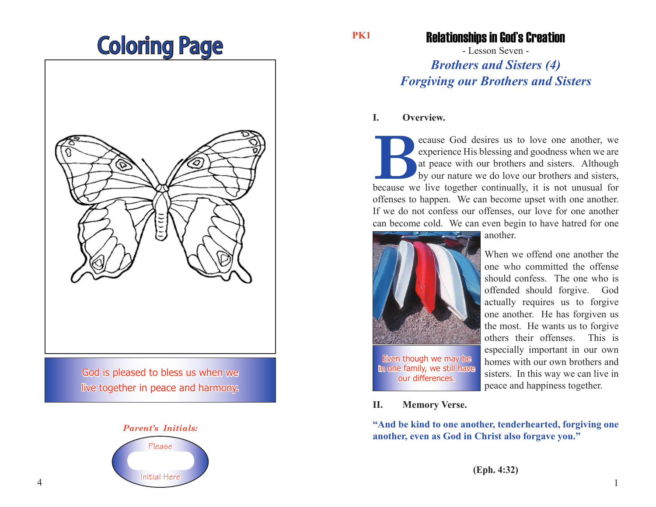# Coloring Page



God is pleased to bless us when we live together in peace and harmony.



**PK1**

### Relationships in God's Creation

- Lesson Seven - *Brothers and Sisters (4)*

## *Forgiving our Brothers and Sisters*

#### **I. Overview.**

**Because** God desires us to love one another, we experience His blessing and goodness when we are at peace with our brothers and sisters. Although by our nature we do love our brothers and sisters, because we live together experience His blessing and goodness when we are at peace with our brothers and sisters. Although by our nature we do love our brothers and sisters, offenses to happen. We can become upset with one another. If we do not confess our offenses, our love for one another can become cold. We can even begin to have hatred for one



another.

When we offend one another the one who committed the offense should confess. The one who is offended should forgive. God actually requires us to forgive one another. He has forgiven us the most. He wants us to forgive others their offenses. This is especially important in our own homes with our own brothers and sisters. In this way we can live in peace and happiness together.

**II. Memory Verse.**

**"And be kind to one another, tenderhearted, forgiving one another, even as God in Christ also forgave you."**